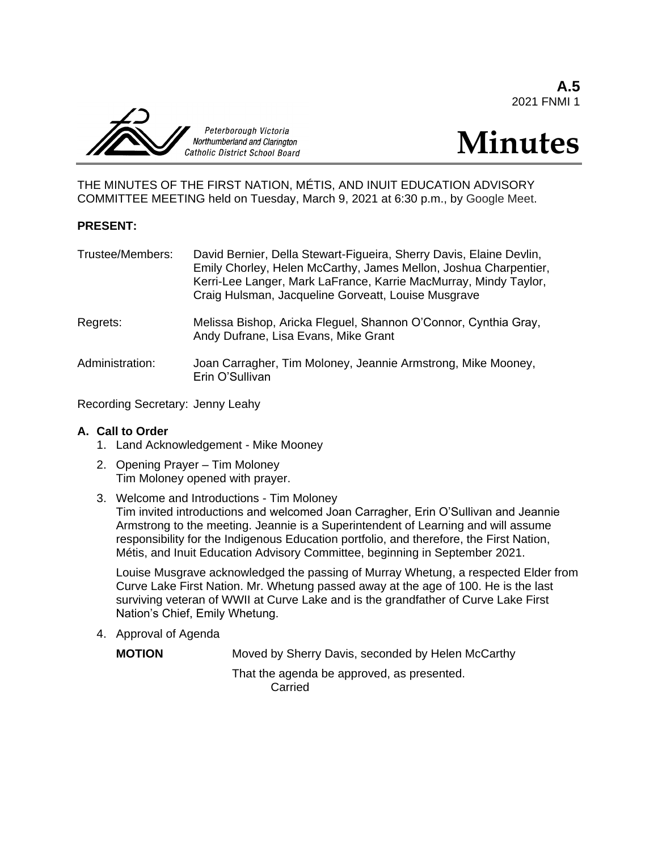**A.5** 2021 FNMI 1



# **Minutes**

THE MINUTES OF THE FIRST NATION, MÉTIS, AND INUIT EDUCATION ADVISORY COMMITTEE MEETING held on Tuesday, March 9, 2021 at 6:30 p.m., by Google Meet.

#### **PRESENT:**

| Trustee/Members: | David Bernier, Della Stewart-Figueira, Sherry Davis, Elaine Devlin,<br>Emily Chorley, Helen McCarthy, James Mellon, Joshua Charpentier,<br>Kerri-Lee Langer, Mark LaFrance, Karrie MacMurray, Mindy Taylor,<br>Craig Hulsman, Jacqueline Gorveatt, Louise Musgrave |
|------------------|--------------------------------------------------------------------------------------------------------------------------------------------------------------------------------------------------------------------------------------------------------------------|
| Regrets:         | Melissa Bishop, Aricka Fleguel, Shannon O'Connor, Cynthia Gray,<br>Andy Dufrane, Lisa Evans, Mike Grant                                                                                                                                                            |
| Administration:  | Joan Carragher, Tim Moloney, Jeannie Armstrong, Mike Mooney,<br>Erin O'Sullivan                                                                                                                                                                                    |

Recording Secretary: Jenny Leahy

#### **A. Call to Order**

- 1. Land Acknowledgement Mike Mooney
- 2. Opening Prayer Tim Moloney Tim Moloney opened with prayer.
- 3. Welcome and Introductions Tim Moloney Tim invited introductions and welcomed Joan Carragher, Erin O'Sullivan and Jeannie Armstrong to the meeting. Jeannie is a Superintendent of Learning and will assume responsibility for the Indigenous Education portfolio, and therefore, the First Nation, Métis, and Inuit Education Advisory Committee, beginning in September 2021.

Louise Musgrave acknowledged the passing of Murray Whetung, a respected Elder from Curve Lake First Nation. Mr. Whetung passed away at the age of 100. He is the last surviving veteran of WWII at Curve Lake and is the grandfather of Curve Lake First Nation's Chief, Emily Whetung.

4. Approval of Agenda

**MOTION** Moved by Sherry Davis, seconded by Helen McCarthy

That the agenda be approved, as presented. Carried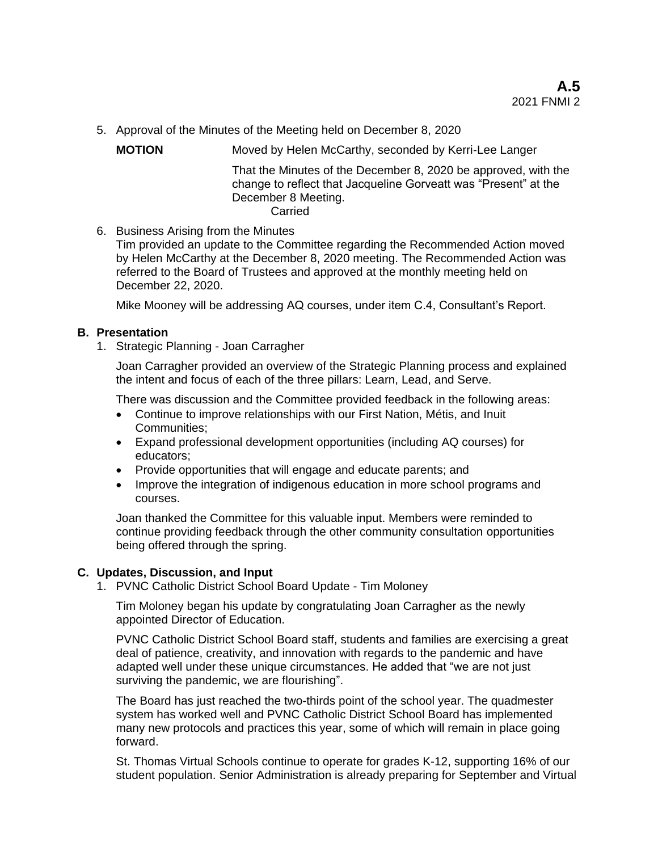5. Approval of the Minutes of the Meeting held on December 8, 2020

**MOTION** Moved by Helen McCarthy, seconded by Kerri-Lee Langer

That the Minutes of the December 8, 2020 be approved, with the change to reflect that Jacqueline Gorveatt was "Present" at the December 8 Meeting. Carried

6. Business Arising from the Minutes

Tim provided an update to the Committee regarding the Recommended Action moved by Helen McCarthy at the December 8, 2020 meeting. The Recommended Action was referred to the Board of Trustees and approved at the monthly meeting held on December 22, 2020.

Mike Mooney will be addressing AQ courses, under item C.4, Consultant's Report.

## **B. Presentation**

1. Strategic Planning - Joan Carragher

Joan Carragher provided an overview of the Strategic Planning process and explained the intent and focus of each of the three pillars: Learn, Lead, and Serve.

There was discussion and the Committee provided feedback in the following areas:

- Continue to improve relationships with our First Nation, Métis, and Inuit Communities;
- Expand professional development opportunities (including AQ courses) for educators;
- Provide opportunities that will engage and educate parents; and
- Improve the integration of indigenous education in more school programs and courses.

Joan thanked the Committee for this valuable input. Members were reminded to continue providing feedback through the other community consultation opportunities being offered through the spring.

## **C. Updates, Discussion, and Input**

1. PVNC Catholic District School Board Update - Tim Moloney

Tim Moloney began his update by congratulating Joan Carragher as the newly appointed Director of Education.

PVNC Catholic District School Board staff, students and families are exercising a great deal of patience, creativity, and innovation with regards to the pandemic and have adapted well under these unique circumstances. He added that "we are not just surviving the pandemic, we are flourishing".

The Board has just reached the two-thirds point of the school year. The quadmester system has worked well and PVNC Catholic District School Board has implemented many new protocols and practices this year, some of which will remain in place going forward.

St. Thomas Virtual Schools continue to operate for grades K-12, supporting 16% of our student population. Senior Administration is already preparing for September and Virtual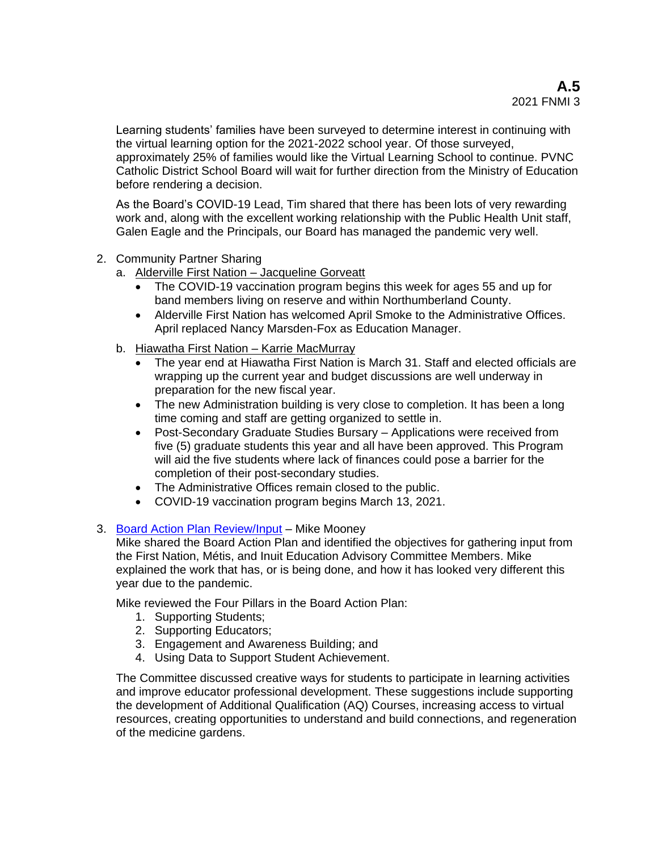Learning students' families have been surveyed to determine interest in continuing with the virtual learning option for the 2021-2022 school year. Of those surveyed, approximately 25% of families would like the Virtual Learning School to continue. PVNC Catholic District School Board will wait for further direction from the Ministry of Education before rendering a decision.

As the Board's COVID-19 Lead, Tim shared that there has been lots of very rewarding work and, along with the excellent working relationship with the Public Health Unit staff, Galen Eagle and the Principals, our Board has managed the pandemic very well.

- 2. Community Partner Sharing
	- a. Alderville First Nation Jacqueline Gorveatt
		- The COVID-19 vaccination program begins this week for ages 55 and up for band members living on reserve and within Northumberland County.
		- Alderville First Nation has welcomed April Smoke to the Administrative Offices. April replaced Nancy Marsden-Fox as Education Manager.
	- b. Hiawatha First Nation Karrie MacMurray
		- The year end at Hiawatha First Nation is March 31. Staff and elected officials are wrapping up the current year and budget discussions are well underway in preparation for the new fiscal year.
		- The new Administration building is very close to completion. It has been a long time coming and staff are getting organized to settle in.
		- Post-Secondary Graduate Studies Bursary Applications were received from five (5) graduate students this year and all have been approved. This Program will aid the five students where lack of finances could pose a barrier for the completion of their post-secondary studies.
		- The Administrative Offices remain closed to the public.
		- COVID-19 vaccination program begins March 13, 2021.
- 3. [Board Action Plan Review/Input](https://jamboard.google.com/d/15HbLcAFosmc_Tf7QjLAEvAz8HzWP7eIaR6eZ8fV9YeM/viewer?f=0) Mike Mooney

Mike shared the Board Action Plan and identified the objectives for gathering input from the First Nation, Métis, and Inuit Education Advisory Committee Members. Mike explained the work that has, or is being done, and how it has looked very different this year due to the pandemic.

Mike reviewed the Four Pillars in the Board Action Plan:

- 1. Supporting Students;
- 2. Supporting Educators;
- 3. Engagement and Awareness Building; and
- 4. Using Data to Support Student Achievement.

The Committee discussed creative ways for students to participate in learning activities and improve educator professional development. These suggestions include supporting the development of Additional Qualification (AQ) Courses, increasing access to virtual resources, creating opportunities to understand and build connections, and regeneration of the medicine gardens.